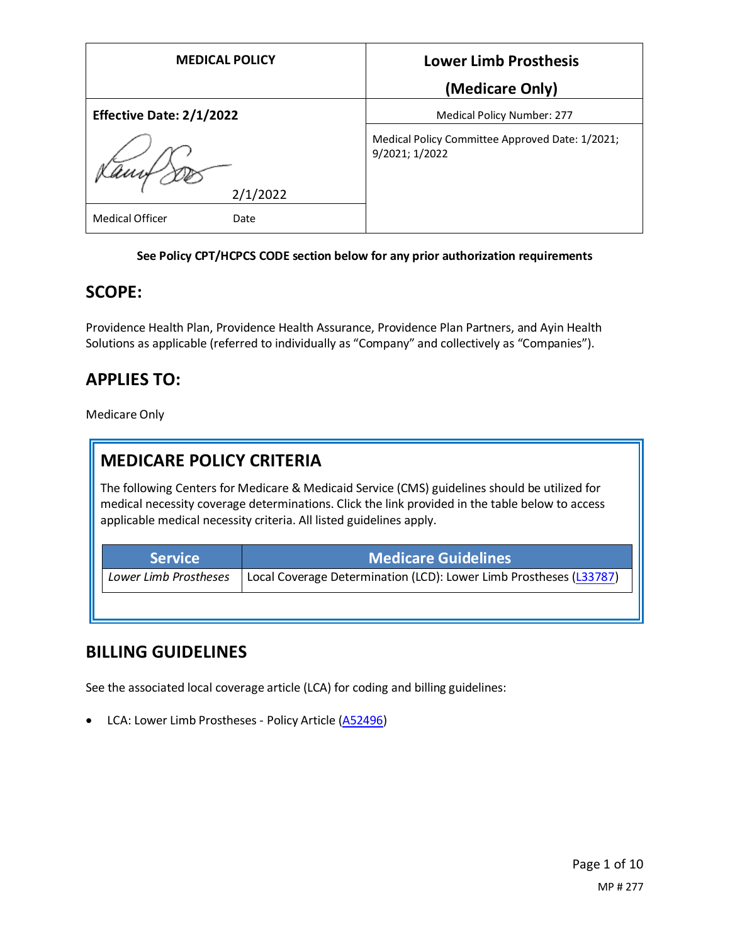| <b>MEDICAL POLICY</b>           | <b>Lower Limb Prosthesis</b>                                      |
|---------------------------------|-------------------------------------------------------------------|
|                                 | (Medicare Only)                                                   |
| <b>Effective Date: 2/1/2022</b> | <b>Medical Policy Number: 277</b>                                 |
|                                 | Medical Policy Committee Approved Date: 1/2021;<br>9/2021; 1/2022 |
| 2/1/2022                        |                                                                   |
| <b>Medical Officer</b><br>Date  |                                                                   |

#### **See Policy CPT/HCPCS CODE section below for any prior authorization requirements**

#### **SCOPE:**

Providence Health Plan, Providence Health Assurance, Providence Plan Partners, and Ayin Health Solutions as applicable (referred to individually as "Company" and collectively as "Companies").

## **APPLIES TO:**

Medicare Only

## **MEDICARE POLICY CRITERIA**

The following Centers for Medicare & Medicaid Service (CMS) guidelines should be utilized for medical necessity coverage determinations. Click the link provided in the table below to access applicable medical necessity criteria. All listed guidelines apply.

| <b>Service</b>        | <b>Medicare Guidelines</b>                                         |
|-----------------------|--------------------------------------------------------------------|
| Lower Limb Prostheses | Local Coverage Determination (LCD): Lower Limb Prostheses (L33787) |

#### **BILLING GUIDELINES**

See the associated local coverage article (LCA) for coding and billing guidelines:

• LCA: Lower Limb Prostheses - Policy Article [\(A52496\)](https://www.cms.gov/medicare-coverage-database/details/article-details.aspx?articleId=52496)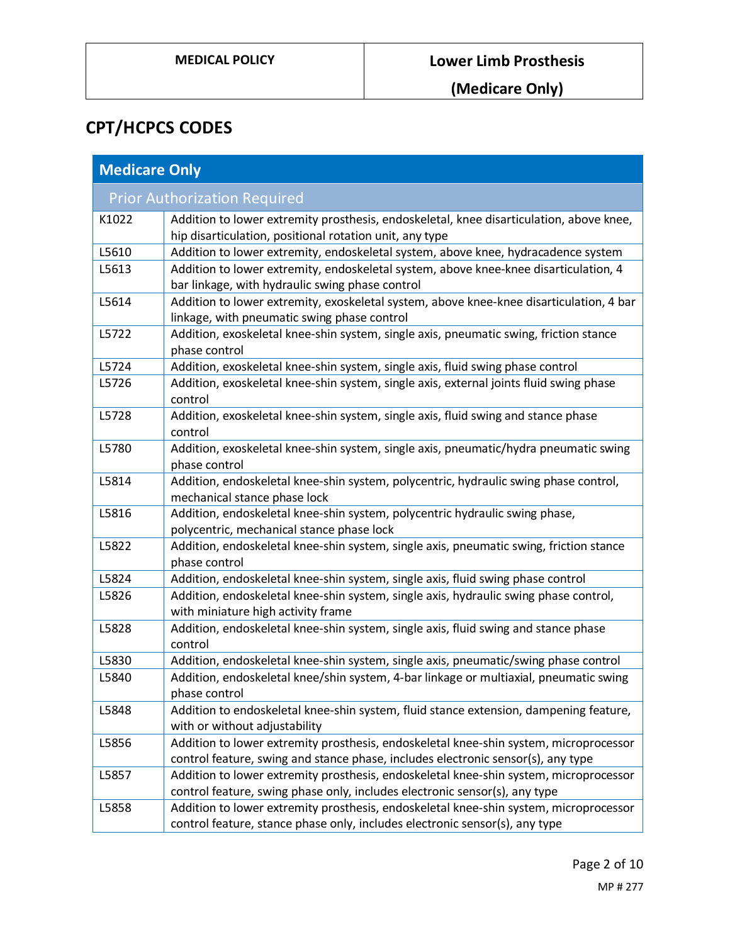# **CPT/HCPCS CODES**

| <b>Medicare Only</b> |                                                                                                                                                                           |
|----------------------|---------------------------------------------------------------------------------------------------------------------------------------------------------------------------|
|                      | <b>Prior Authorization Required</b>                                                                                                                                       |
| K1022                | Addition to lower extremity prosthesis, endoskeletal, knee disarticulation, above knee,<br>hip disarticulation, positional rotation unit, any type                        |
| L5610                | Addition to lower extremity, endoskeletal system, above knee, hydracadence system                                                                                         |
| L5613                | Addition to lower extremity, endoskeletal system, above knee-knee disarticulation, 4<br>bar linkage, with hydraulic swing phase control                                   |
| L5614                | Addition to lower extremity, exoskeletal system, above knee-knee disarticulation, 4 bar<br>linkage, with pneumatic swing phase control                                    |
| L5722                | Addition, exoskeletal knee-shin system, single axis, pneumatic swing, friction stance<br>phase control                                                                    |
| L5724                | Addition, exoskeletal knee-shin system, single axis, fluid swing phase control                                                                                            |
| L5726                | Addition, exoskeletal knee-shin system, single axis, external joints fluid swing phase<br>control                                                                         |
| L5728                | Addition, exoskeletal knee-shin system, single axis, fluid swing and stance phase<br>control                                                                              |
| L5780                | Addition, exoskeletal knee-shin system, single axis, pneumatic/hydra pneumatic swing<br>phase control                                                                     |
| L5814                | Addition, endoskeletal knee-shin system, polycentric, hydraulic swing phase control,<br>mechanical stance phase lock                                                      |
| L5816                | Addition, endoskeletal knee-shin system, polycentric hydraulic swing phase,<br>polycentric, mechanical stance phase lock                                                  |
| L5822                | Addition, endoskeletal knee-shin system, single axis, pneumatic swing, friction stance<br>phase control                                                                   |
| L5824                | Addition, endoskeletal knee-shin system, single axis, fluid swing phase control                                                                                           |
| L5826                | Addition, endoskeletal knee-shin system, single axis, hydraulic swing phase control,<br>with miniature high activity frame                                                |
| L5828                | Addition, endoskeletal knee-shin system, single axis, fluid swing and stance phase<br>control                                                                             |
| L5830                | Addition, endoskeletal knee-shin system, single axis, pneumatic/swing phase control                                                                                       |
| L5840                | Addition, endoskeletal knee/shin system, 4-bar linkage or multiaxial, pneumatic swing<br>phase control                                                                    |
| L5848                | Addition to endoskeletal knee-shin system, fluid stance extension, dampening feature,<br>with or without adjustability                                                    |
| L5856                | Addition to lower extremity prosthesis, endoskeletal knee-shin system, microprocessor<br>control feature, swing and stance phase, includes electronic sensor(s), any type |
| L5857                | Addition to lower extremity prosthesis, endoskeletal knee-shin system, microprocessor<br>control feature, swing phase only, includes electronic sensor(s), any type       |
| L5858                | Addition to lower extremity prosthesis, endoskeletal knee-shin system, microprocessor<br>control feature, stance phase only, includes electronic sensor(s), any type      |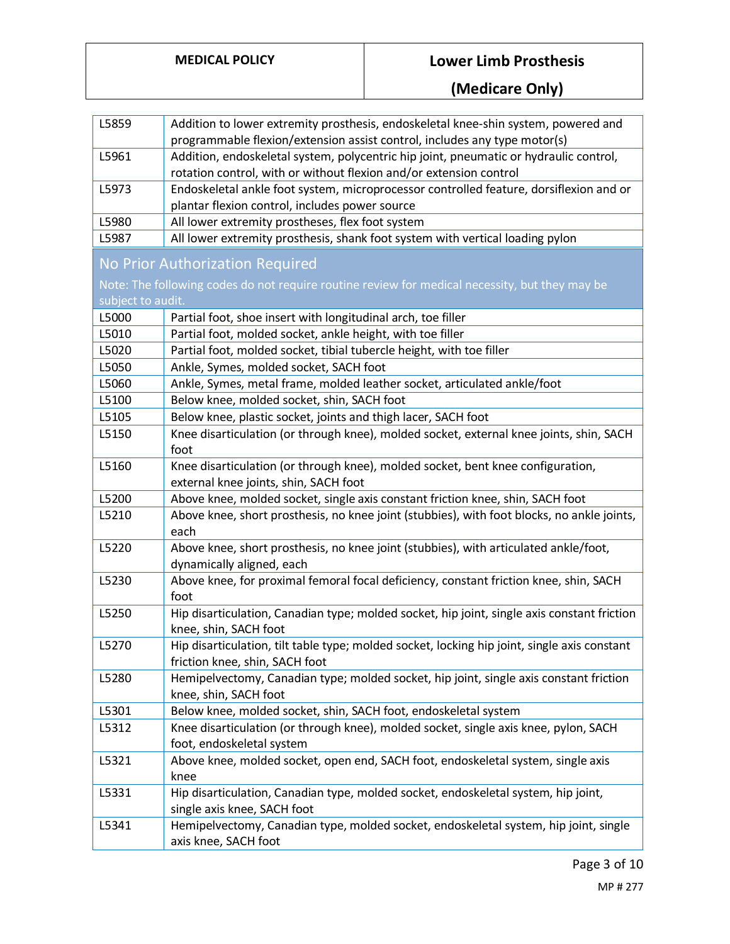| L5859                                                                                                               | Addition to lower extremity prosthesis, endoskeletal knee-shin system, powered and<br>programmable flexion/extension assist control, includes any type motor(s) |
|---------------------------------------------------------------------------------------------------------------------|-----------------------------------------------------------------------------------------------------------------------------------------------------------------|
| L5961                                                                                                               | Addition, endoskeletal system, polycentric hip joint, pneumatic or hydraulic control,<br>rotation control, with or without flexion and/or extension control     |
| L5973                                                                                                               | Endoskeletal ankle foot system, microprocessor controlled feature, dorsiflexion and or<br>plantar flexion control, includes power source                        |
| L5980                                                                                                               | All lower extremity prostheses, flex foot system                                                                                                                |
| L5987                                                                                                               | All lower extremity prosthesis, shank foot system with vertical loading pylon                                                                                   |
|                                                                                                                     | No Prior Authorization Required                                                                                                                                 |
| Note: The following codes do not require routine review for medical necessity, but they may be<br>subject to audit. |                                                                                                                                                                 |
| L5000                                                                                                               | Partial foot, shoe insert with longitudinal arch, toe filler                                                                                                    |
| L5010                                                                                                               | Partial foot, molded socket, ankle height, with toe filler                                                                                                      |
| L5020                                                                                                               | Partial foot, molded socket, tibial tubercle height, with toe filler                                                                                            |
| L5050                                                                                                               | Ankle, Symes, molded socket, SACH foot                                                                                                                          |
| L5060                                                                                                               | Ankle, Symes, metal frame, molded leather socket, articulated ankle/foot                                                                                        |
| L5100                                                                                                               | Below knee, molded socket, shin, SACH foot                                                                                                                      |
| L5105                                                                                                               | Below knee, plastic socket, joints and thigh lacer, SACH foot                                                                                                   |
| L5150                                                                                                               | Knee disarticulation (or through knee), molded socket, external knee joints, shin, SACH<br>foot                                                                 |
| L5160                                                                                                               | Knee disarticulation (or through knee), molded socket, bent knee configuration,<br>external knee joints, shin, SACH foot                                        |
| L5200                                                                                                               | Above knee, molded socket, single axis constant friction knee, shin, SACH foot                                                                                  |
| L5210                                                                                                               | Above knee, short prosthesis, no knee joint (stubbies), with foot blocks, no ankle joints,<br>each                                                              |
| L5220                                                                                                               | Above knee, short prosthesis, no knee joint (stubbies), with articulated ankle/foot,<br>dynamically aligned, each                                               |
| L5230                                                                                                               | Above knee, for proximal femoral focal deficiency, constant friction knee, shin, SACH<br>foot                                                                   |
| L5250                                                                                                               | Hip disarticulation, Canadian type; molded socket, hip joint, single axis constant friction<br>knee, shin, SACH foot                                            |
| L5270                                                                                                               | Hip disarticulation, tilt table type; molded socket, locking hip joint, single axis constant<br>friction knee, shin, SACH foot                                  |
| L5280                                                                                                               | Hemipelvectomy, Canadian type; molded socket, hip joint, single axis constant friction<br>knee, shin, SACH foot                                                 |
| L5301                                                                                                               | Below knee, molded socket, shin, SACH foot, endoskeletal system                                                                                                 |
| L5312                                                                                                               | Knee disarticulation (or through knee), molded socket, single axis knee, pylon, SACH<br>foot, endoskeletal system                                               |
| L5321                                                                                                               | Above knee, molded socket, open end, SACH foot, endoskeletal system, single axis<br>knee                                                                        |
| L5331                                                                                                               | Hip disarticulation, Canadian type, molded socket, endoskeletal system, hip joint,<br>single axis knee, SACH foot                                               |
| L5341                                                                                                               | Hemipelvectomy, Canadian type, molded socket, endoskeletal system, hip joint, single<br>axis knee, SACH foot                                                    |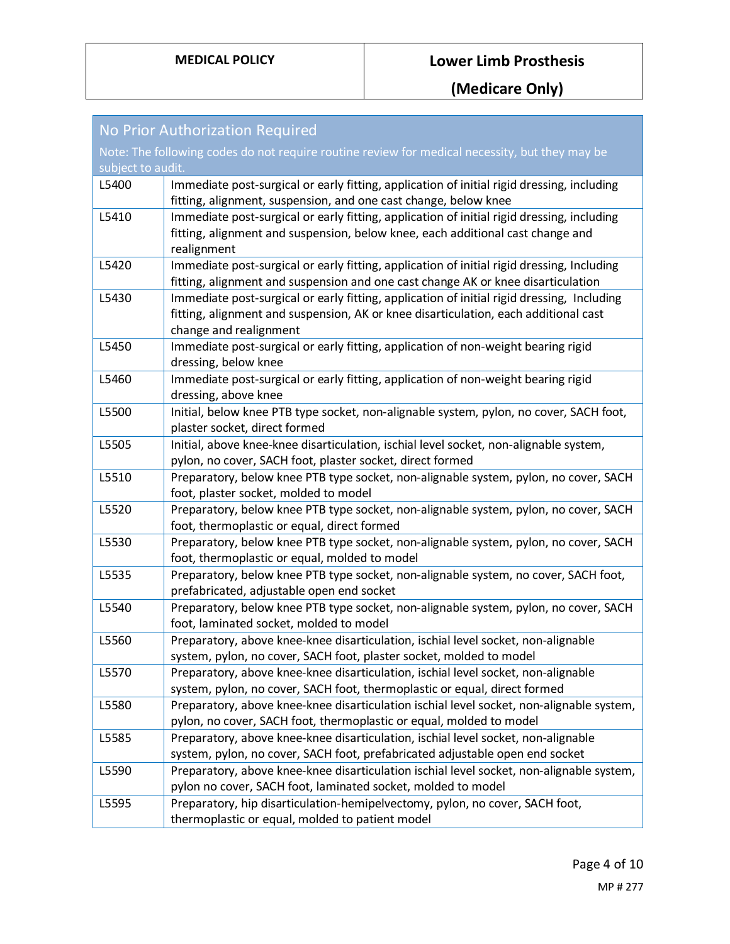| No Prior Authorization Required                                                                |                                                                                                                                                                                                             |
|------------------------------------------------------------------------------------------------|-------------------------------------------------------------------------------------------------------------------------------------------------------------------------------------------------------------|
| Note: The following codes do not require routine review for medical necessity, but they may be |                                                                                                                                                                                                             |
| subject to audit.                                                                              |                                                                                                                                                                                                             |
| L5400                                                                                          | Immediate post-surgical or early fitting, application of initial rigid dressing, including<br>fitting, alignment, suspension, and one cast change, below knee                                               |
| L5410                                                                                          | Immediate post-surgical or early fitting, application of initial rigid dressing, including<br>fitting, alignment and suspension, below knee, each additional cast change and<br>realignment                 |
| L5420                                                                                          | Immediate post-surgical or early fitting, application of initial rigid dressing, Including<br>fitting, alignment and suspension and one cast change AK or knee disarticulation                              |
| L5430                                                                                          | Immediate post-surgical or early fitting, application of initial rigid dressing, Including<br>fitting, alignment and suspension, AK or knee disarticulation, each additional cast<br>change and realignment |
| L5450                                                                                          | Immediate post-surgical or early fitting, application of non-weight bearing rigid<br>dressing, below knee                                                                                                   |
| L5460                                                                                          | Immediate post-surgical or early fitting, application of non-weight bearing rigid<br>dressing, above knee                                                                                                   |
| L5500                                                                                          | Initial, below knee PTB type socket, non-alignable system, pylon, no cover, SACH foot,<br>plaster socket, direct formed                                                                                     |
| L5505                                                                                          | Initial, above knee-knee disarticulation, ischial level socket, non-alignable system,<br>pylon, no cover, SACH foot, plaster socket, direct formed                                                          |
| L5510                                                                                          | Preparatory, below knee PTB type socket, non-alignable system, pylon, no cover, SACH<br>foot, plaster socket, molded to model                                                                               |
| L5520                                                                                          | Preparatory, below knee PTB type socket, non-alignable system, pylon, no cover, SACH<br>foot, thermoplastic or equal, direct formed                                                                         |
| L5530                                                                                          | Preparatory, below knee PTB type socket, non-alignable system, pylon, no cover, SACH<br>foot, thermoplastic or equal, molded to model                                                                       |
| L5535                                                                                          | Preparatory, below knee PTB type socket, non-alignable system, no cover, SACH foot,<br>prefabricated, adjustable open end socket                                                                            |
| L5540                                                                                          | Preparatory, below knee PTB type socket, non-alignable system, pylon, no cover, SACH<br>foot, laminated socket, molded to model                                                                             |
| L5560                                                                                          | Preparatory, above knee-knee disarticulation, ischial level socket, non-alignable<br>system, pylon, no cover, SACH foot, plaster socket, molded to model                                                    |
| L5570                                                                                          | Preparatory, above knee-knee disarticulation, ischial level socket, non-alignable<br>system, pylon, no cover, SACH foot, thermoplastic or equal, direct formed                                              |
| L5580                                                                                          | Preparatory, above knee-knee disarticulation ischial level socket, non-alignable system,<br>pylon, no cover, SACH foot, thermoplastic or equal, molded to model                                             |
| L5585                                                                                          | Preparatory, above knee-knee disarticulation, ischial level socket, non-alignable<br>system, pylon, no cover, SACH foot, prefabricated adjustable open end socket                                           |
| L5590                                                                                          | Preparatory, above knee-knee disarticulation ischial level socket, non-alignable system,<br>pylon no cover, SACH foot, laminated socket, molded to model                                                    |
| L5595                                                                                          | Preparatory, hip disarticulation-hemipelvectomy, pylon, no cover, SACH foot,<br>thermoplastic or equal, molded to patient model                                                                             |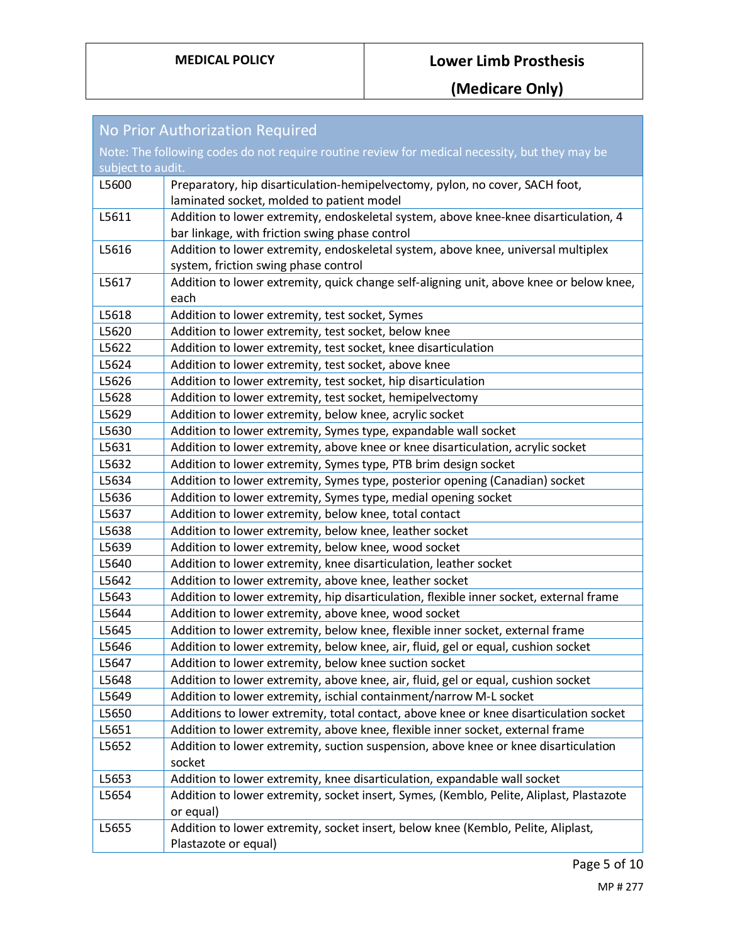| <b>No Prior Authorization Required</b>                                                         |                                                                                          |
|------------------------------------------------------------------------------------------------|------------------------------------------------------------------------------------------|
| Note: The following codes do not require routine review for medical necessity, but they may be |                                                                                          |
| subject to audit.                                                                              |                                                                                          |
| L5600                                                                                          | Preparatory, hip disarticulation-hemipelvectomy, pylon, no cover, SACH foot,             |
|                                                                                                | laminated socket, molded to patient model                                                |
| L5611                                                                                          | Addition to lower extremity, endoskeletal system, above knee-knee disarticulation, 4     |
|                                                                                                | bar linkage, with friction swing phase control                                           |
| L5616                                                                                          | Addition to lower extremity, endoskeletal system, above knee, universal multiplex        |
|                                                                                                | system, friction swing phase control                                                     |
| L5617                                                                                          | Addition to lower extremity, quick change self-aligning unit, above knee or below knee,  |
|                                                                                                | each                                                                                     |
| L5618                                                                                          | Addition to lower extremity, test socket, Symes                                          |
| L5620                                                                                          | Addition to lower extremity, test socket, below knee                                     |
| L5622                                                                                          | Addition to lower extremity, test socket, knee disarticulation                           |
| L5624                                                                                          | Addition to lower extremity, test socket, above knee                                     |
| L5626                                                                                          | Addition to lower extremity, test socket, hip disarticulation                            |
| L5628                                                                                          | Addition to lower extremity, test socket, hemipelvectomy                                 |
| L5629                                                                                          | Addition to lower extremity, below knee, acrylic socket                                  |
| L5630                                                                                          | Addition to lower extremity, Symes type, expandable wall socket                          |
| L5631                                                                                          | Addition to lower extremity, above knee or knee disarticulation, acrylic socket          |
| L5632                                                                                          | Addition to lower extremity, Symes type, PTB brim design socket                          |
| L5634                                                                                          | Addition to lower extremity, Symes type, posterior opening (Canadian) socket             |
| L5636                                                                                          | Addition to lower extremity, Symes type, medial opening socket                           |
| L5637                                                                                          | Addition to lower extremity, below knee, total contact                                   |
| L5638                                                                                          | Addition to lower extremity, below knee, leather socket                                  |
| L5639                                                                                          | Addition to lower extremity, below knee, wood socket                                     |
| L5640                                                                                          | Addition to lower extremity, knee disarticulation, leather socket                        |
| L5642                                                                                          | Addition to lower extremity, above knee, leather socket                                  |
| L5643                                                                                          | Addition to lower extremity, hip disarticulation, flexible inner socket, external frame  |
| L5644                                                                                          | Addition to lower extremity, above knee, wood socket                                     |
| L5645                                                                                          | Addition to lower extremity, below knee, flexible inner socket, external frame           |
| L5646                                                                                          | Addition to lower extremity, below knee, air, fluid, gel or equal, cushion socket        |
| L5647                                                                                          | Addition to lower extremity, below knee suction socket                                   |
| L5648                                                                                          | Addition to lower extremity, above knee, air, fluid, gel or equal, cushion socket        |
| L5649                                                                                          | Addition to lower extremity, ischial containment/narrow M-L socket                       |
| L5650                                                                                          | Additions to lower extremity, total contact, above knee or knee disarticulation socket   |
| L5651                                                                                          | Addition to lower extremity, above knee, flexible inner socket, external frame           |
| L5652                                                                                          | Addition to lower extremity, suction suspension, above knee or knee disarticulation      |
|                                                                                                | socket                                                                                   |
| L5653                                                                                          | Addition to lower extremity, knee disarticulation, expandable wall socket                |
| L5654                                                                                          | Addition to lower extremity, socket insert, Symes, (Kemblo, Pelite, Aliplast, Plastazote |
|                                                                                                | or equal)                                                                                |
| L5655                                                                                          | Addition to lower extremity, socket insert, below knee (Kemblo, Pelite, Aliplast,        |
|                                                                                                | Plastazote or equal)                                                                     |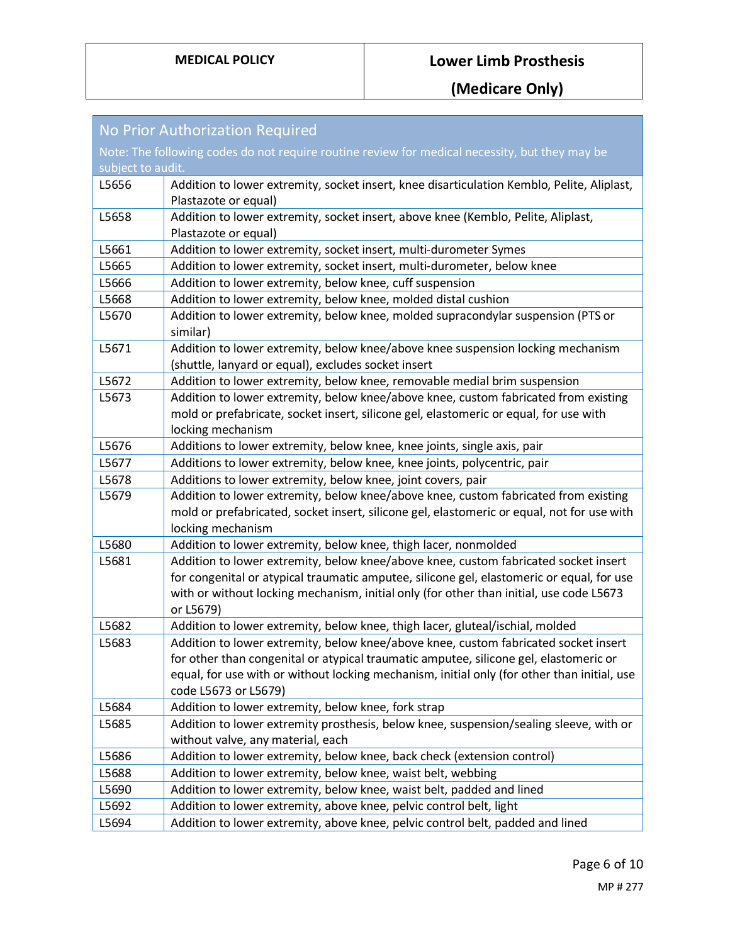| No Prior Authorization Required                                                                |                                                                                                                                                                                                                                                                                                     |  |
|------------------------------------------------------------------------------------------------|-----------------------------------------------------------------------------------------------------------------------------------------------------------------------------------------------------------------------------------------------------------------------------------------------------|--|
| Note: The following codes do not require routine review for medical necessity, but they may be |                                                                                                                                                                                                                                                                                                     |  |
| subject to audit.                                                                              |                                                                                                                                                                                                                                                                                                     |  |
| L5656                                                                                          | Addition to lower extremity, socket insert, knee disarticulation Kemblo, Pelite, Aliplast,<br>Plastazote or equal)                                                                                                                                                                                  |  |
| L5658                                                                                          | Addition to lower extremity, socket insert, above knee (Kemblo, Pelite, Aliplast,<br>Plastazote or equal)                                                                                                                                                                                           |  |
| L5661                                                                                          | Addition to lower extremity, socket insert, multi-durometer Symes                                                                                                                                                                                                                                   |  |
| L5665                                                                                          | Addition to lower extremity, socket insert, multi-durometer, below knee                                                                                                                                                                                                                             |  |
| L5666                                                                                          | Addition to lower extremity, below knee, cuff suspension                                                                                                                                                                                                                                            |  |
| L5668                                                                                          | Addition to lower extremity, below knee, molded distal cushion                                                                                                                                                                                                                                      |  |
| L5670                                                                                          | Addition to lower extremity, below knee, molded supracondylar suspension (PTS or<br>similar)                                                                                                                                                                                                        |  |
| L5671                                                                                          | Addition to lower extremity, below knee/above knee suspension locking mechanism<br>(shuttle, lanyard or equal), excludes socket insert                                                                                                                                                              |  |
| L5672                                                                                          | Addition to lower extremity, below knee, removable medial brim suspension                                                                                                                                                                                                                           |  |
| L5673                                                                                          | Addition to lower extremity, below knee/above knee, custom fabricated from existing                                                                                                                                                                                                                 |  |
|                                                                                                | mold or prefabricate, socket insert, silicone gel, elastomeric or equal, for use with                                                                                                                                                                                                               |  |
|                                                                                                | locking mechanism                                                                                                                                                                                                                                                                                   |  |
| L5676                                                                                          | Additions to lower extremity, below knee, knee joints, single axis, pair                                                                                                                                                                                                                            |  |
| L5677                                                                                          | Additions to lower extremity, below knee, knee joints, polycentric, pair                                                                                                                                                                                                                            |  |
| L5678                                                                                          | Additions to lower extremity, below knee, joint covers, pair                                                                                                                                                                                                                                        |  |
| L5679                                                                                          | Addition to lower extremity, below knee/above knee, custom fabricated from existing<br>mold or prefabricated, socket insert, silicone gel, elastomeric or equal, not for use with<br>locking mechanism                                                                                              |  |
| L5680                                                                                          | Addition to lower extremity, below knee, thigh lacer, nonmolded                                                                                                                                                                                                                                     |  |
| L5681                                                                                          | Addition to lower extremity, below knee/above knee, custom fabricated socket insert                                                                                                                                                                                                                 |  |
|                                                                                                | for congenital or atypical traumatic amputee, silicone gel, elastomeric or equal, for use<br>with or without locking mechanism, initial only (for other than initial, use code L5673<br>or L5679)                                                                                                   |  |
| L5682                                                                                          | Addition to lower extremity, below knee, thigh lacer, gluteal/ischial, molded                                                                                                                                                                                                                       |  |
| L5683                                                                                          | Addition to lower extremity, below knee/above knee, custom fabricated socket insert<br>for other than congenital or atypical traumatic amputee, silicone gel, elastomeric or<br>equal, for use with or without locking mechanism, initial only (for other than initial, use<br>code L5673 or L5679) |  |
| L5684                                                                                          | Addition to lower extremity, below knee, fork strap                                                                                                                                                                                                                                                 |  |
| L5685                                                                                          | Addition to lower extremity prosthesis, below knee, suspension/sealing sleeve, with or<br>without valve, any material, each                                                                                                                                                                         |  |
| L5686                                                                                          | Addition to lower extremity, below knee, back check (extension control)                                                                                                                                                                                                                             |  |
| L5688                                                                                          | Addition to lower extremity, below knee, waist belt, webbing                                                                                                                                                                                                                                        |  |
| L5690                                                                                          | Addition to lower extremity, below knee, waist belt, padded and lined                                                                                                                                                                                                                               |  |
| L5692                                                                                          | Addition to lower extremity, above knee, pelvic control belt, light                                                                                                                                                                                                                                 |  |
| L5694                                                                                          | Addition to lower extremity, above knee, pelvic control belt, padded and lined                                                                                                                                                                                                                      |  |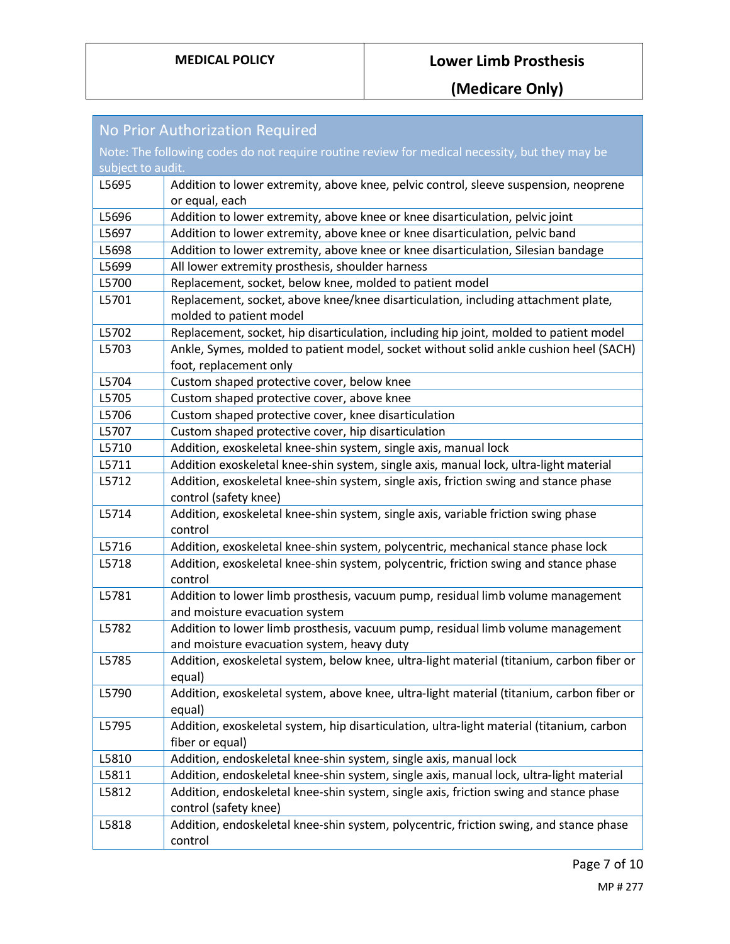| No Prior Authorization Required                                                                |                                                                                                                               |
|------------------------------------------------------------------------------------------------|-------------------------------------------------------------------------------------------------------------------------------|
| Note: The following codes do not require routine review for medical necessity, but they may be |                                                                                                                               |
| subject to audit.                                                                              |                                                                                                                               |
| L5695                                                                                          | Addition to lower extremity, above knee, pelvic control, sleeve suspension, neoprene<br>or equal, each                        |
| L5696                                                                                          | Addition to lower extremity, above knee or knee disarticulation, pelvic joint                                                 |
| L5697                                                                                          | Addition to lower extremity, above knee or knee disarticulation, pelvic band                                                  |
| L5698                                                                                          | Addition to lower extremity, above knee or knee disarticulation, Silesian bandage                                             |
| L5699                                                                                          | All lower extremity prosthesis, shoulder harness                                                                              |
| L5700                                                                                          | Replacement, socket, below knee, molded to patient model                                                                      |
| L5701                                                                                          | Replacement, socket, above knee/knee disarticulation, including attachment plate,<br>molded to patient model                  |
| L5702                                                                                          | Replacement, socket, hip disarticulation, including hip joint, molded to patient model                                        |
| L5703                                                                                          | Ankle, Symes, molded to patient model, socket without solid ankle cushion heel (SACH)<br>foot, replacement only               |
| L5704                                                                                          | Custom shaped protective cover, below knee                                                                                    |
| L5705                                                                                          | Custom shaped protective cover, above knee                                                                                    |
| L5706                                                                                          | Custom shaped protective cover, knee disarticulation                                                                          |
| L5707                                                                                          | Custom shaped protective cover, hip disarticulation                                                                           |
| L5710                                                                                          | Addition, exoskeletal knee-shin system, single axis, manual lock                                                              |
| L5711                                                                                          | Addition exoskeletal knee-shin system, single axis, manual lock, ultra-light material                                         |
| L5712                                                                                          | Addition, exoskeletal knee-shin system, single axis, friction swing and stance phase<br>control (safety knee)                 |
| L5714                                                                                          | Addition, exoskeletal knee-shin system, single axis, variable friction swing phase<br>control                                 |
| L5716                                                                                          | Addition, exoskeletal knee-shin system, polycentric, mechanical stance phase lock                                             |
| L5718                                                                                          | Addition, exoskeletal knee-shin system, polycentric, friction swing and stance phase<br>control                               |
| L5781                                                                                          | Addition to lower limb prosthesis, vacuum pump, residual limb volume management<br>and moisture evacuation system             |
| L5782                                                                                          | Addition to lower limb prosthesis, vacuum pump, residual limb volume management<br>and moisture evacuation system, heavy duty |
| L5785                                                                                          | Addition, exoskeletal system, below knee, ultra-light material (titanium, carbon fiber or<br>equal)                           |
| L5790                                                                                          | Addition, exoskeletal system, above knee, ultra-light material (titanium, carbon fiber or<br>equal)                           |
| L5795                                                                                          | Addition, exoskeletal system, hip disarticulation, ultra-light material (titanium, carbon<br>fiber or equal)                  |
| L5810                                                                                          | Addition, endoskeletal knee-shin system, single axis, manual lock                                                             |
| L5811                                                                                          | Addition, endoskeletal knee-shin system, single axis, manual lock, ultra-light material                                       |
| L5812                                                                                          | Addition, endoskeletal knee-shin system, single axis, friction swing and stance phase<br>control (safety knee)                |
| L5818                                                                                          | Addition, endoskeletal knee-shin system, polycentric, friction swing, and stance phase<br>control                             |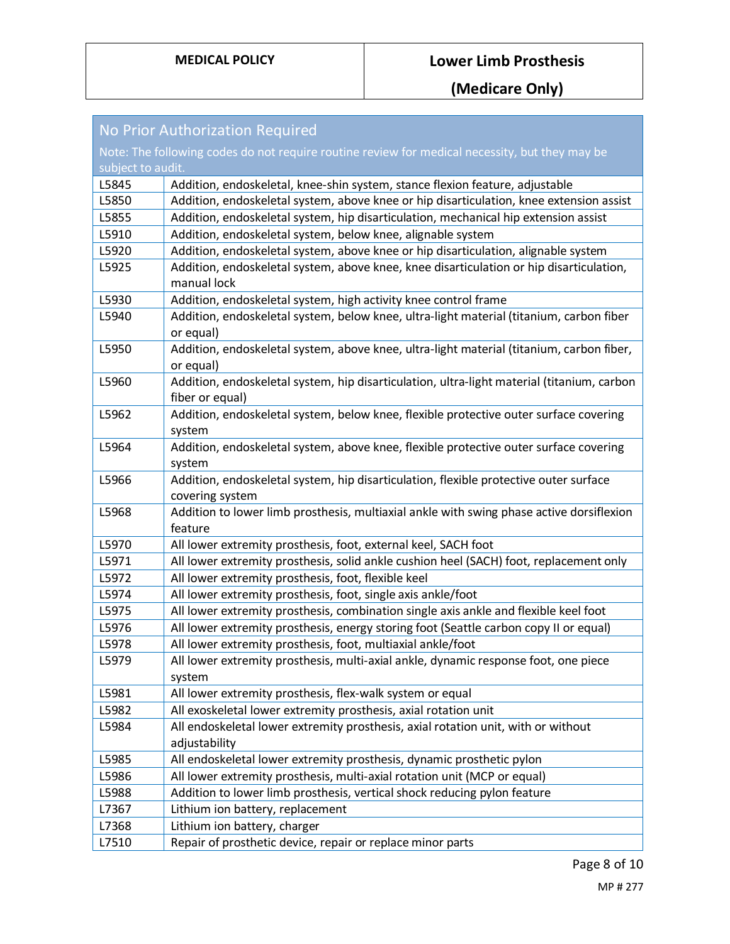| <b>No Prior Authorization Required</b>                                                         |                                                                                                               |
|------------------------------------------------------------------------------------------------|---------------------------------------------------------------------------------------------------------------|
| Note: The following codes do not require routine review for medical necessity, but they may be |                                                                                                               |
| subject to audit.                                                                              |                                                                                                               |
| L5845                                                                                          | Addition, endoskeletal, knee-shin system, stance flexion feature, adjustable                                  |
| L5850                                                                                          | Addition, endoskeletal system, above knee or hip disarticulation, knee extension assist                       |
| L5855                                                                                          | Addition, endoskeletal system, hip disarticulation, mechanical hip extension assist                           |
| L5910                                                                                          | Addition, endoskeletal system, below knee, alignable system                                                   |
| L5920                                                                                          | Addition, endoskeletal system, above knee or hip disarticulation, alignable system                            |
| L5925                                                                                          | Addition, endoskeletal system, above knee, knee disarticulation or hip disarticulation,<br>manual lock        |
| L5930                                                                                          | Addition, endoskeletal system, high activity knee control frame                                               |
| L5940                                                                                          | Addition, endoskeletal system, below knee, ultra-light material (titanium, carbon fiber<br>or equal)          |
| L5950                                                                                          | Addition, endoskeletal system, above knee, ultra-light material (titanium, carbon fiber,<br>or equal)         |
| L5960                                                                                          | Addition, endoskeletal system, hip disarticulation, ultra-light material (titanium, carbon<br>fiber or equal) |
| L5962                                                                                          | Addition, endoskeletal system, below knee, flexible protective outer surface covering<br>system               |
| L5964                                                                                          | Addition, endoskeletal system, above knee, flexible protective outer surface covering<br>system               |
| L5966                                                                                          | Addition, endoskeletal system, hip disarticulation, flexible protective outer surface<br>covering system      |
| L5968                                                                                          | Addition to lower limb prosthesis, multiaxial ankle with swing phase active dorsiflexion<br>feature           |
| L5970                                                                                          | All lower extremity prosthesis, foot, external keel, SACH foot                                                |
| L5971                                                                                          | All lower extremity prosthesis, solid ankle cushion heel (SACH) foot, replacement only                        |
| L5972                                                                                          | All lower extremity prosthesis, foot, flexible keel                                                           |
| L5974                                                                                          | All lower extremity prosthesis, foot, single axis ankle/foot                                                  |
| L5975                                                                                          | All lower extremity prosthesis, combination single axis ankle and flexible keel foot                          |
| L5976                                                                                          | All lower extremity prosthesis, energy storing foot (Seattle carbon copy II or equal)                         |
| L5978                                                                                          | All lower extremity prosthesis, foot, multiaxial ankle/foot                                                   |
| L5979                                                                                          | All lower extremity prosthesis, multi-axial ankle, dynamic response foot, one piece<br>system                 |
| L5981                                                                                          | All lower extremity prosthesis, flex-walk system or equal                                                     |
| L5982                                                                                          | All exoskeletal lower extremity prosthesis, axial rotation unit                                               |
| L5984                                                                                          | All endoskeletal lower extremity prosthesis, axial rotation unit, with or without                             |
|                                                                                                | adjustability                                                                                                 |
| L5985                                                                                          | All endoskeletal lower extremity prosthesis, dynamic prosthetic pylon                                         |
| L5986                                                                                          | All lower extremity prosthesis, multi-axial rotation unit (MCP or equal)                                      |
| L5988                                                                                          | Addition to lower limb prosthesis, vertical shock reducing pylon feature                                      |
| L7367                                                                                          | Lithium ion battery, replacement                                                                              |
| L7368                                                                                          | Lithium ion battery, charger                                                                                  |
| L7510                                                                                          | Repair of prosthetic device, repair or replace minor parts                                                    |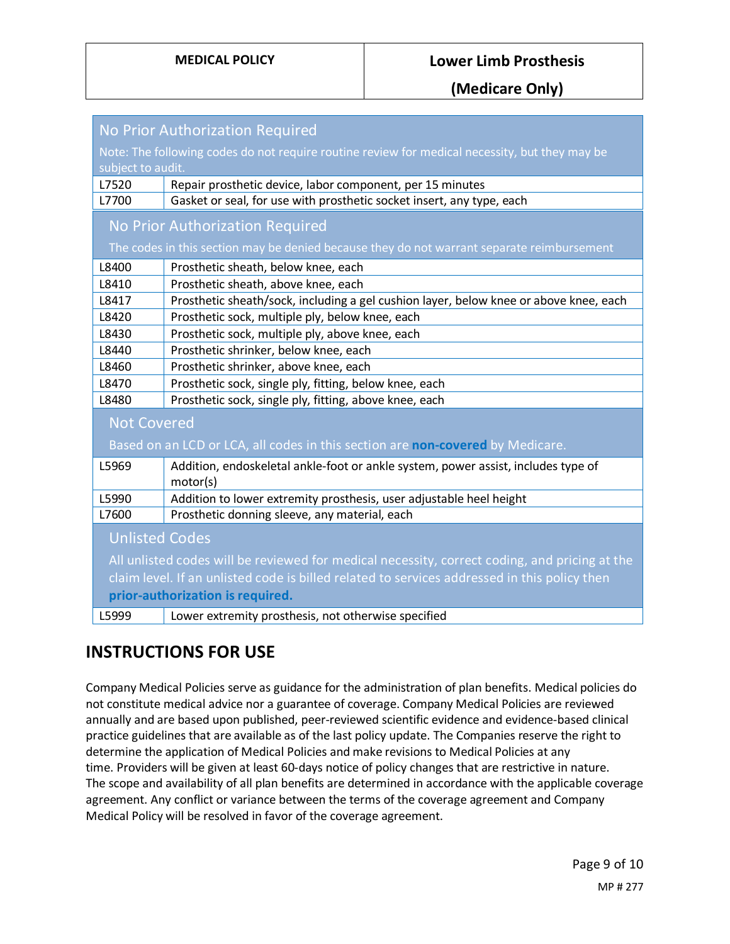**(Medicare Only)**

| No Prior Authorization Required                                                                |                                                                                               |
|------------------------------------------------------------------------------------------------|-----------------------------------------------------------------------------------------------|
| Note: The following codes do not require routine review for medical necessity, but they may be |                                                                                               |
| subject to audit.                                                                              |                                                                                               |
| L7520                                                                                          | Repair prosthetic device, labor component, per 15 minutes                                     |
| L7700                                                                                          | Gasket or seal, for use with prosthetic socket insert, any type, each                         |
|                                                                                                | No Prior Authorization Required                                                               |
|                                                                                                | The codes in this section may be denied because they do not warrant separate reimbursement    |
| L8400                                                                                          | Prosthetic sheath, below knee, each                                                           |
| L8410                                                                                          | Prosthetic sheath, above knee, each                                                           |
| L8417                                                                                          | Prosthetic sheath/sock, including a gel cushion layer, below knee or above knee, each         |
| L8420                                                                                          | Prosthetic sock, multiple ply, below knee, each                                               |
| L8430                                                                                          | Prosthetic sock, multiple ply, above knee, each                                               |
| L8440                                                                                          | Prosthetic shrinker, below knee, each                                                         |
| L8460                                                                                          | Prosthetic shrinker, above knee, each                                                         |
| L8470                                                                                          | Prosthetic sock, single ply, fitting, below knee, each                                        |
| L8480                                                                                          | Prosthetic sock, single ply, fitting, above knee, each                                        |
| <b>Not Covered</b>                                                                             |                                                                                               |
|                                                                                                | Based on an LCD or LCA, all codes in this section are non-covered by Medicare.                |
| L5969                                                                                          | Addition, endoskeletal ankle-foot or ankle system, power assist, includes type of<br>motor(s) |
| L5990                                                                                          | Addition to lower extremity prosthesis, user adjustable heel height                           |
| L7600                                                                                          | Prosthetic donning sleeve, any material, each                                                 |
| <b>Unlisted Codes</b>                                                                          |                                                                                               |
| All unlisted codes will be reviewed for medical necessity, correct coding, and pricing at the  |                                                                                               |
| claim level. If an unlisted code is billed related to services addressed in this policy then   |                                                                                               |
| prior-authorization is required.                                                               |                                                                                               |
| L5999                                                                                          | Lower extremity prosthesis, not otherwise specified                                           |

## **INSTRUCTIONS FOR USE**

Company Medical Policies serve as guidance for the administration of plan benefits. Medical policies do not constitute medical advice nor a guarantee of coverage. Company Medical Policies are reviewed annually and are based upon published, peer-reviewed scientific evidence and evidence-based clinical practice guidelines that are available as of the last policy update. The Companies reserve the right to determine the application of Medical Policies and make revisions to Medical Policies at any time. Providers will be given at least 60-days notice of policy changes that are restrictive in nature. The scope and availability of all plan benefits are determined in accordance with the applicable coverage agreement. Any conflict or variance between the terms of the coverage agreement and Company Medical Policy will be resolved in favor of the coverage agreement.